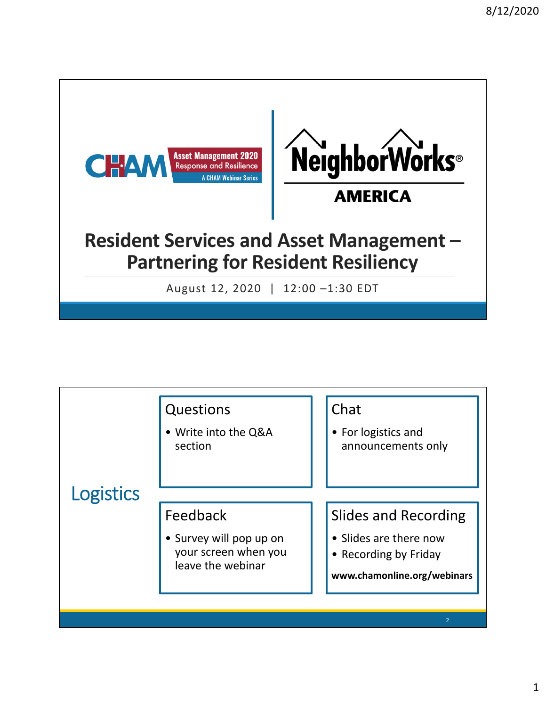

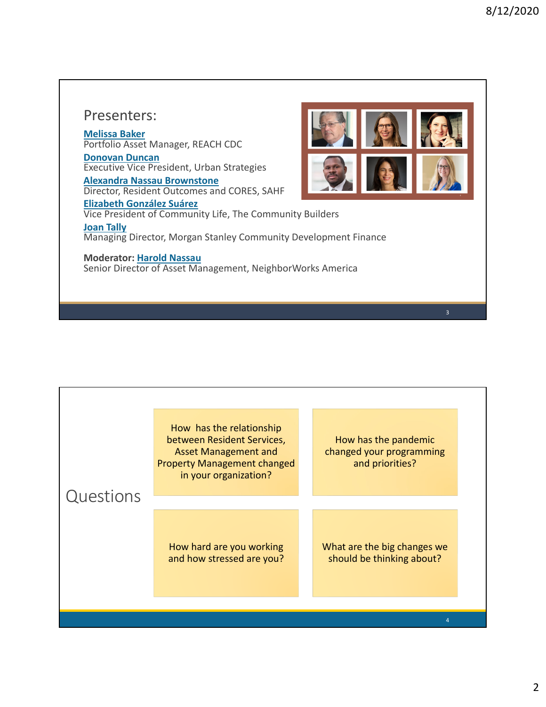## Presenters:

**Melissa Baker** Portfolio Asset Manager, REACH CDC **Donovan Duncan**

Executive Vice President, Urban Strategies

**Alexandra Nassau Brownstone** Director, Resident Outcomes and CORES, SAHF



**Elizabeth González Suárez** Vice President of Community Life, The Community Builders **Joan Tally** Managing Director, Morgan Stanley Community Development Finance

## **Moderator: Harold Nassau**

Senior Director of Asset Management, NeighborWorks America

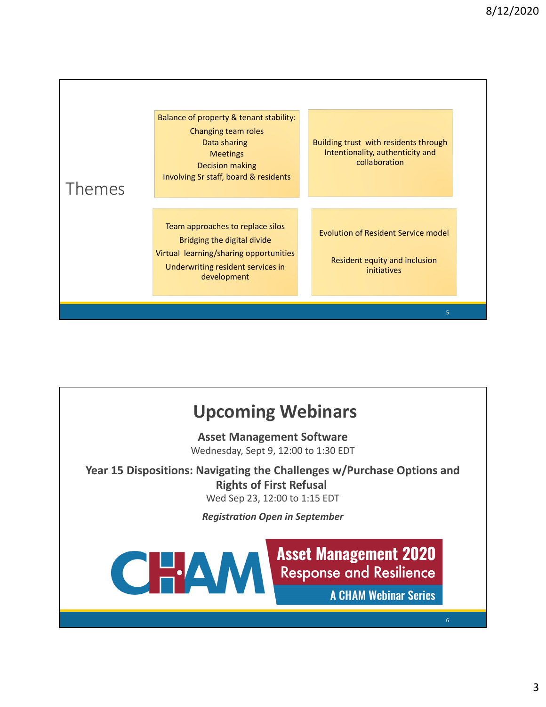



3